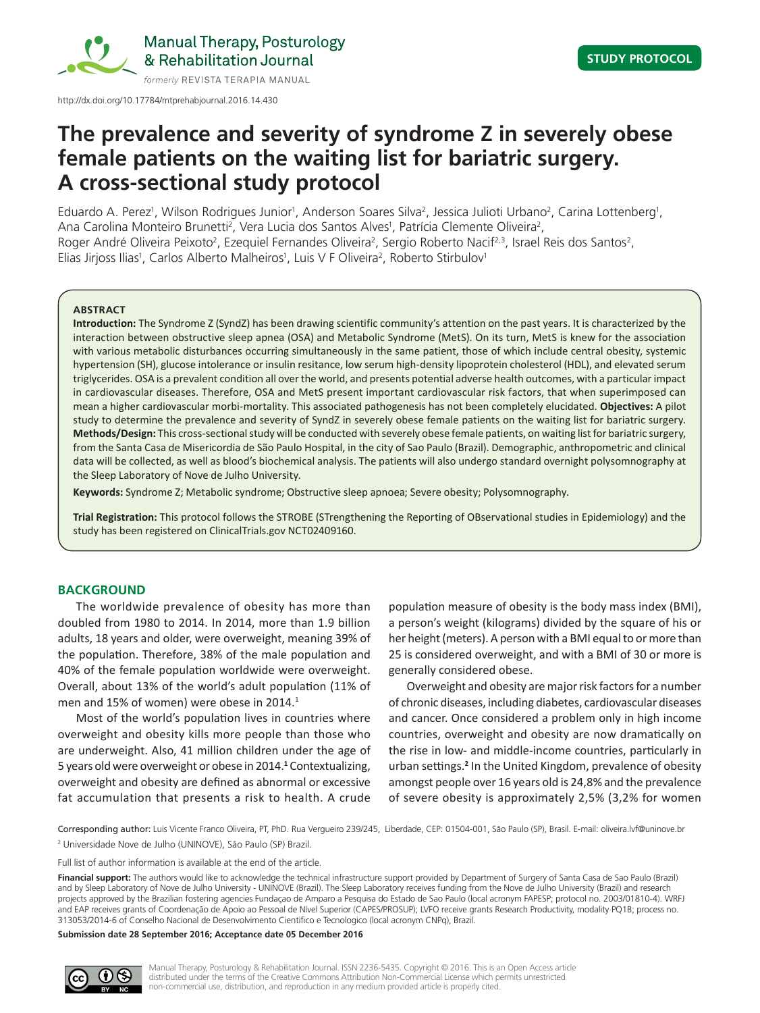

Manual Therapy, Posturology & Rehabilitation Journal

http://dx.doi.org/10.17784/mtprehabjournal.2016.14.430

# **The prevalence and severity of syndrome Z in severely obese female patients on the waiting list for bariatric surgery. A cross‑sectional study protocol**

Eduardo A. Perez<sup>1</sup>, Wilson Rodrigues Junior<sup>1</sup>, Anderson Soares Silva<sup>2</sup>, Jessica Julioti Urbano<sup>2</sup>, Carina Lottenberg<sup>1</sup>, Ana Carolina Monteiro Brunetti<sup>2</sup>, Vera Lucia dos Santos Alves<sup>1</sup>, Patrícia Clemente Oliveira<sup>2</sup>, Roger André Oliveira Peixoto<sup>2</sup>, Ezequiel Fernandes Oliveira<sup>2</sup>, Sergio Roberto Nacif<sup>2,3</sup>, Israel Reis dos Santos<sup>2</sup>, Elias Jirjoss Ilias<sup>1</sup>, Carlos Alberto Malheiros<sup>1</sup>, Luis V F Oliveira<sup>2</sup>, Roberto Stirbulov<sup>1</sup>

#### **ABSTRACT**

**Introduction:** The Syndrome Z (SyndZ) has been drawing scientific community's attention on the past years. It is characterized by the interaction between obstructive sleep apnea (OSA) and Metabolic Syndrome (MetS). On its turn, MetS is knew for the association with various metabolic disturbances occurring simultaneously in the same patient, those of which include central obesity, systemic hypertension (SH), glucose intolerance or insulin resitance, low serum high-density lipoprotein cholesterol (HDL), and elevated serum triglycerides. OSA is a prevalent condition all over the world, and presents potential adverse health outcomes, with a particular impact in cardiovascular diseases. Therefore, OSA and MetS present important cardiovascular risk factors, that when superimposed can mean a higher cardiovascular morbi-mortality. This associated pathogenesis has not been completely elucidated. **Objectives:** A pilot study to determine the prevalence and severity of SyndZ in severely obese female patients on the waiting list for bariatric surgery. **Methods/Design:** This cross-sectional study will be conducted with severely obese female patients, on waiting list for bariatric surgery, from the Santa Casa de Misericordia de São Paulo Hospital, in the city of Sao Paulo (Brazil). Demographic, anthropometric and clinical data will be collected, as well as blood's biochemical analysis. The patients will also undergo standard overnight polysomnography at the Sleep Laboratory of Nove de Julho University.

**Keywords:** Syndrome Z; Metabolic syndrome; Obstructive sleep apnoea; Severe obesity; Polysomnography.

**Trial Registration:** This protocol follows the STROBE (STrengthening the Reporting of OBservational studies in Epidemiology) and the study has been registered on ClinicalTrials.gov NCT02409160.

# **BACKGROUND**

The worldwide prevalence of obesity has more than doubled from 1980 to 2014. In 2014, more than 1.9 billion adults, 18 years and older, were overweight, meaning 39% of the population. Therefore, 38% of the male population and 40% of the female population worldwide were overweight. Overall, about 13% of the world's adult population (11% of men and 15% of women) were obese in 2014.<sup>1</sup>

Most of the world's population lives in countries where overweight and obesity kills more people than those who are underweight. Also, 41 million children under the age of 5 years old were overweight or obese in 2014.**<sup>1</sup>** Contextualizing, overweight and obesity are defined as abnormal or excessive fat accumulation that presents a risk to health. A crude

population measure of obesity is the body mass index (BMI), a person's weight (kilograms) divided by the square of his or her height (meters). A person with a BMI equal to or more than 25 is considered overweight, and with a BMI of 30 or more is generally considered obese.

Overweight and obesity are major risk factors for a number of chronic diseases, including diabetes, cardiovascular diseases and cancer. Once considered a problem only in high income countries, overweight and obesity are now dramatically on the rise in low- and middle-income countries, particularly in urban settings.**<sup>2</sup>** In the United Kingdom, prevalence of obesity amongst people over 16 years old is 24,8% and the prevalence of severe obesity is approximately 2,5% (3,2% for women

Corresponding author: Luis Vicente Franco Oliveira, PT, PhD. Rua Vergueiro 239/245, Liberdade, CEP: 01504-001, São Paulo (SP), Brasil. E-mail: oliveira.lvf@uninove.br <sup>2</sup> Universidade Nove de Julho (UNINOVE), São Paulo (SP) Brazil.

Full list of author information is available at the end of the article.

Financial support: The authors would like to acknowledge the technical infrastructure support provided by Department of Surgery of Santa Casa de Sao Paulo (Brazil) and by Sleep Laboratory of Nove de Julho University - UNINOVE (Brazil). The Sleep Laboratory receives funding from the Nove de Julho University (Brazil) and research projects approved by the Brazilian fostering agencies Fundaçao de Amparo a Pesquisa do Estado de Sao Paulo (local acronym FAPESP; protocol no. 2003/01810-4). WRFJ and EAP receives grants of Coordenação de Apoio ao Pessoal de Nível Superior (CAPES/PROSUP); LVFO receive grants Research Productivity, modality PQ1B; process no. 313053/2014‑6 of Conselho Nacional de Desenvolvimento Cientifico e Tecnologico (local acronym CNPq), Brazil.

**Submission date 28 September 2016; Acceptance date 05 December 2016**

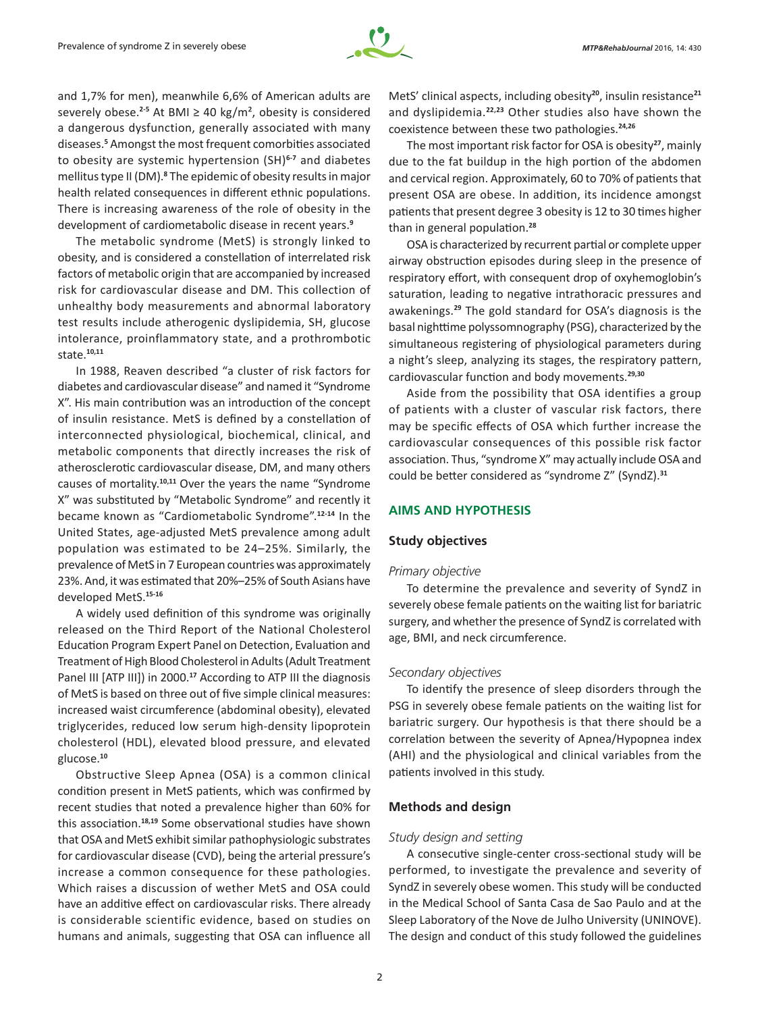

and 1,7% for men), meanwhile 6,6% of American adults are severely obese.<sup>2-5</sup> At BMI  $\geq$  40 kg/m<sup>2</sup>, obesity is considered a dangerous dysfunction, generally associated with many diseases.**<sup>5</sup>** Amongst the most frequent comorbities associated to obesity are systemic hypertension (SH)**6-7** and diabetes mellitus type II (DM).**<sup>8</sup>** The epidemic of obesity results in major health related consequences in different ethnic populations. There is increasing awareness of the role of obesity in the development of cardiometabolic disease in recent years.**<sup>9</sup>**

The metabolic syndrome (MetS) is strongly linked to obesity, and is considered a constellation of interrelated risk factors of metabolic origin that are accompanied by increased risk for cardiovascular disease and DM. This collection of unhealthy body measurements and abnormal laboratory test results include atherogenic dyslipidemia, SH, glucose intolerance, proinflammatory state, and a prothrombotic state.**10,11**

In 1988, Reaven described "a cluster of risk factors for diabetes and cardiovascular disease" and named it "Syndrome X". His main contribution was an introduction of the concept of insulin resistance. MetS is defined by a constellation of interconnected physiological, biochemical, clinical, and metabolic components that directly increases the risk of atherosclerotic cardiovascular disease, DM, and many others causes of mortality.**10,11** Over the years the name "Syndrome X" was substituted by "Metabolic Syndrome" and recently it became known as "Cardiometabolic Syndrome".**12-14** In the United States, age-adjusted MetS prevalence among adult population was estimated to be 24–25%. Similarly, the prevalence of MetS in 7 European countries was approximately 23%. And, it was estimated that 20%–25% of South Asians have developed MetS.**15-16**

A widely used definition of this syndrome was originally released on the Third Report of the National Cholesterol Education Program Expert Panel on Detection, Evaluation and Treatment of High Blood Cholesterol in Adults (Adult Treatment Panel III [ATP III]) in 2000.**<sup>17</sup>** According to ATP III the diagnosis of MetS is based on three out of five simple clinical measures: increased waist circumference (abdominal obesity), elevated triglycerides, reduced low serum high-density lipoprotein cholesterol (HDL), elevated blood pressure, and elevated glucose.**<sup>10</sup>**

Obstructive Sleep Apnea (OSA) is a common clinical condition present in MetS patients, which was confirmed by recent studies that noted a prevalence higher than 60% for this association.**18,19** Some observational studies have shown that OSA and MetS exhibit similar pathophysiologic substrates for cardiovascular disease (CVD), being the arterial pressure's increase a common consequence for these pathologies. Which raises a discussion of wether MetS and OSA could have an additive effect on cardiovascular risks. There already is considerable scientific evidence, based on studies on humans and animals, suggesting that OSA can influence all MetS' clinical aspects, including obesity**<sup>20</sup>**, insulin resistance**<sup>21</sup>** and dyslipidemia.**22,23** Other studies also have shown the coexistence between these two pathologies.**24,26**

The most important risk factor for OSA is obesity**<sup>27</sup>**, mainly due to the fat buildup in the high portion of the abdomen and cervical region. Approximately, 60 to 70% of patients that present OSA are obese. In addition, its incidence amongst patients that present degree 3 obesity is 12 to 30 times higher than in general population.**<sup>28</sup>**

OSA is characterized by recurrent partial or complete upper airway obstruction episodes during sleep in the presence of respiratory effort, with consequent drop of oxyhemoglobin's saturation, leading to negative intrathoracic pressures and awakenings.**<sup>29</sup>** The gold standard for OSA's diagnosis is the basal nighttime polyssomnography (PSG), characterized by the simultaneous registering of physiological parameters during a night's sleep, analyzing its stages, the respiratory pattern, cardiovascular function and body movements.**29,30**

Aside from the possibility that OSA identifies a group of patients with a cluster of vascular risk factors, there may be specific effects of OSA which further increase the cardiovascular consequences of this possible risk factor association. Thus, "syndrome X" may actually include OSA and could be better considered as "syndrome Z" (SyndZ).**<sup>31</sup>**

# **AIMS AND HYPOTHESIS**

# **Study objectives**

#### *Primary objective*

To determine the prevalence and severity of SyndZ in severely obese female patients on the waiting list for bariatric surgery, and whether the presence of SyndZ is correlated with age, BMI, and neck circumference.

#### *Secondary objectives*

To identify the presence of sleep disorders through the PSG in severely obese female patients on the waiting list for bariatric surgery. Our hypothesis is that there should be a correlation between the severity of Apnea/Hypopnea index (AHI) and the physiological and clinical variables from the patients involved in this study.

# **Methods and design**

#### *Study design and setting*

A consecutive single-center cross-sectional study will be performed, to investigate the prevalence and severity of SyndZ in severely obese women. This study will be conducted in the Medical School of Santa Casa de Sao Paulo and at the Sleep Laboratory of the Nove de Julho University (UNINOVE). The design and conduct of this study followed the guidelines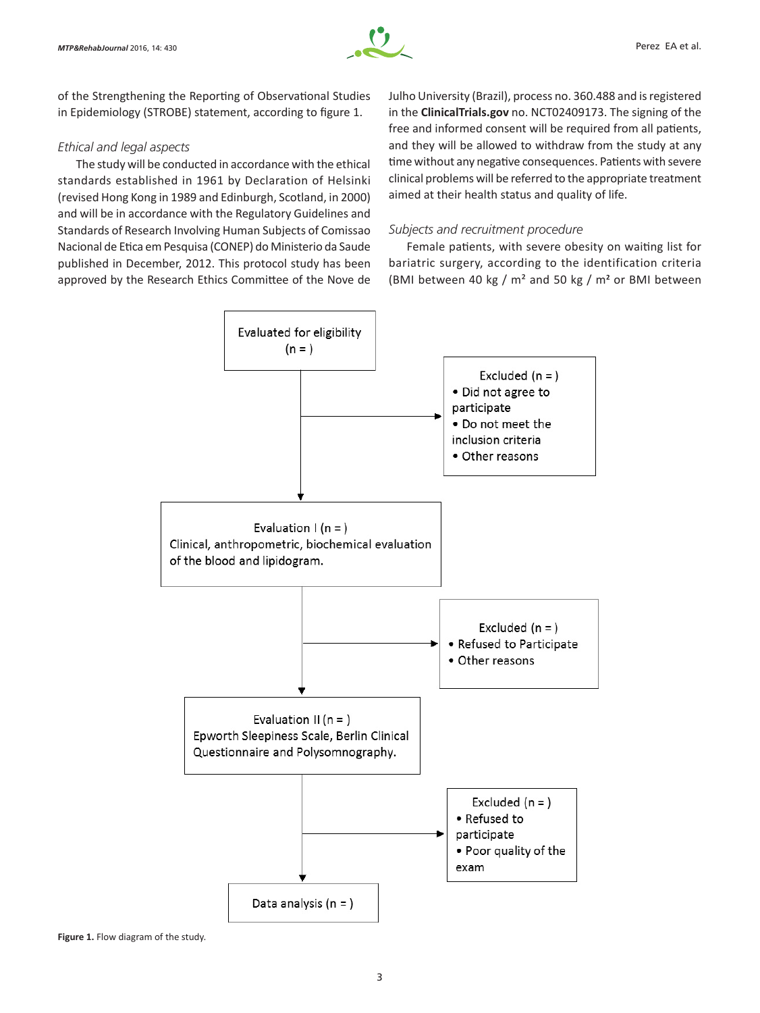

of the Strengthening the Reporting of Observational Studies in Epidemiology (STROBE) statement, according to figure 1.

# *Ethical and legal aspects*

The study will be conducted in accordance with the ethical standards established in 1961 by Declaration of Helsinki (revised Hong Kong in 1989 and Edinburgh, Scotland, in 2000) and will be in accordance with the Regulatory Guidelines and Standards of Research Involving Human Subjects of Comissao Nacional de Etica em Pesquisa (CONEP) do Ministerio da Saude published in December, 2012. This protocol study has been approved by the Research Ethics Committee of the Nove de

Julho University (Brazil), process no. 360.488 and is registered in the **ClinicalTrials.gov** no. NCT02409173. The signing of the free and informed consent will be required from all patients, and they will be allowed to withdraw from the study at any time without any negative consequences. Patients with severe clinical problems will be referred to the appropriate treatment aimed at their health status and quality of life.

# *Subjects and recruitment procedure*

Female patients, with severe obesity on waiting list for bariatric surgery, according to the identification criteria (BMI between 40 kg / m² and 50 kg / m**<sup>2</sup>** or BMI between



**Figure 1.** Flow diagram of the study.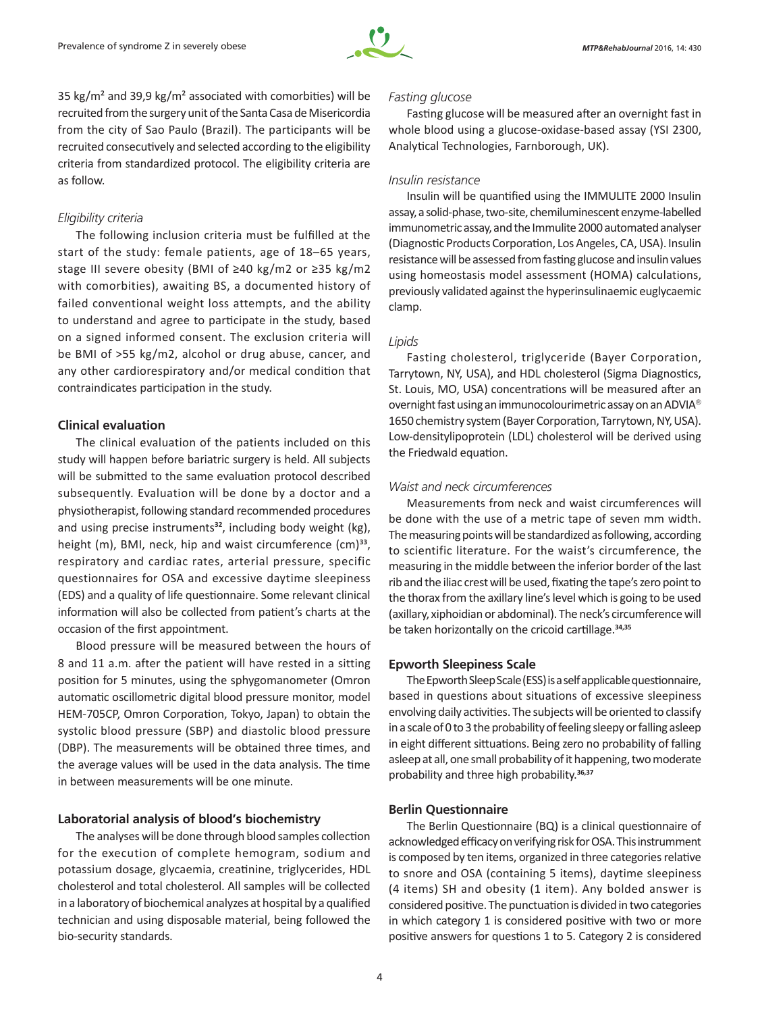

35 kg/m<sup>2</sup> and 39,9 kg/m<sup>2</sup> associated with comorbities) will be recruited from the surgery unit of the Santa Casa de Misericordia from the city of Sao Paulo (Brazil). The participants will be recruited consecutively and selected according to the eligibility criteria from standardized protocol. The eligibility criteria are as follow.

## *Eligibility criteria*

The following inclusion criteria must be fulfilled at the start of the study: female patients, age of 18–65 years, stage III severe obesity (BMI of ≥40 kg/m2 or ≥35 kg/m2 with comorbities), awaiting BS, a documented history of failed conventional weight loss attempts, and the ability to understand and agree to participate in the study, based on a signed informed consent. The exclusion criteria will be BMI of >55 kg/m2, alcohol or drug abuse, cancer, and any other cardiorespiratory and/or medical condition that contraindicates participation in the study.

## **Clinical evaluation**

The clinical evaluation of the patients included on this study will happen before bariatric surgery is held. All subjects will be submitted to the same evaluation protocol described subsequently. Evaluation will be done by a doctor and a physiotherapist, following standard recommended procedures and using precise instruments**<sup>32</sup>**, including body weight (kg), height (m), BMI, neck, hip and waist circumference (cm)**<sup>33</sup>**, respiratory and cardiac rates, arterial pressure, specific questionnaires for OSA and excessive daytime sleepiness (EDS) and a quality of life questionnaire. Some relevant clinical information will also be collected from patient's charts at the occasion of the first appointment.

Blood pressure will be measured between the hours of 8 and 11 a.m. after the patient will have rested in a sitting position for 5 minutes, using the sphygomanometer (Omron automatic oscillometric digital blood pressure monitor, model HEM‑705CP, Omron Corporation, Tokyo, Japan) to obtain the systolic blood pressure (SBP) and diastolic blood pressure (DBP). The measurements will be obtained three times, and the average values will be used in the data analysis. The time in between measurements will be one minute.

## **Laboratorial analysis of blood's biochemistry**

The analyses will be done through blood samples collection for the execution of complete hemogram, sodium and potassium dosage, glycaemia, creatinine, triglycerides, HDL cholesterol and total cholesterol. All samples will be collected in a laboratory of biochemical analyzes at hospital by a qualified technician and using disposable material, being followed the bio-security standards.

## *Fasting glucose*

Fasting glucose will be measured after an overnight fast in whole blood using a glucose-oxidase-based assay (YSI 2300, Analytical Technologies, Farnborough, UK).

## *Insulin resistance*

Insulin will be quantified using the IMMULITE 2000 Insulin assay, a solid-phase, two-site, chemiluminescent enzyme-labelled immunometric assay, and the Immulite 2000 automated analyser (Diagnostic Products Corporation, Los Angeles, CA, USA). Insulin resistance will be assessed from fasting glucose and insulin values using homeostasis model assessment (HOMA) calculations, previously validated against the hyperinsulinaemic euglycaemic clamp.

# *Lipids*

Fasting cholesterol, triglyceride (Bayer Corporation, Tarrytown, NY, USA), and HDL cholesterol (Sigma Diagnostics, St. Louis, MO, USA) concentrations will be measured after an overnight fast using an immunocolourimetric assay on an ADVIA 1650 chemistry system (Bayer Corporation, Tarrytown, NY, USA). Low-densitylipoprotein (LDL) cholesterol will be derived using the Friedwald equation.

# *Waist and neck circumferences*

Measurements from neck and waist circumferences will be done with the use of a metric tape of seven mm width. The measuring points will be standardized as following, according to scientific literature. For the waist's circumference, the measuring in the middle between the inferior border of the last rib and the iliac crest will be used, fixating the tape's zero point to the thorax from the axillary line's level which is going to be used (axillary, xiphoidian or abdominal). The neck's circumference will be taken horizontally on the cricoid cartillage.**34,35**

#### **Epworth Sleepiness Scale**

The Epworth Sleep Scale (ESS) is a self applicable questionnaire, based in questions about situations of excessive sleepiness envolving daily activities. The subjects will be oriented to classify in a scale of 0 to 3 the probability of feeling sleepy or falling asleep in eight different sittuations. Being zero no probability of falling asleep at all, one small probability of it happening, two moderate probability and three high probability.**36,37**

# **Berlin Questionnaire**

The Berlin Questionnaire (BQ) is a clinical questionnaire of acknowledged efficacy on verifying risk for OSA. This instrumment is composed by ten items, organized in three categories relative to snore and OSA (containing 5 items), daytime sleepiness (4 items) SH and obesity (1 item). Any bolded answer is considered positive. The punctuation is divided in two categories in which category 1 is considered positive with two or more positive answers for questions 1 to 5. Category 2 is considered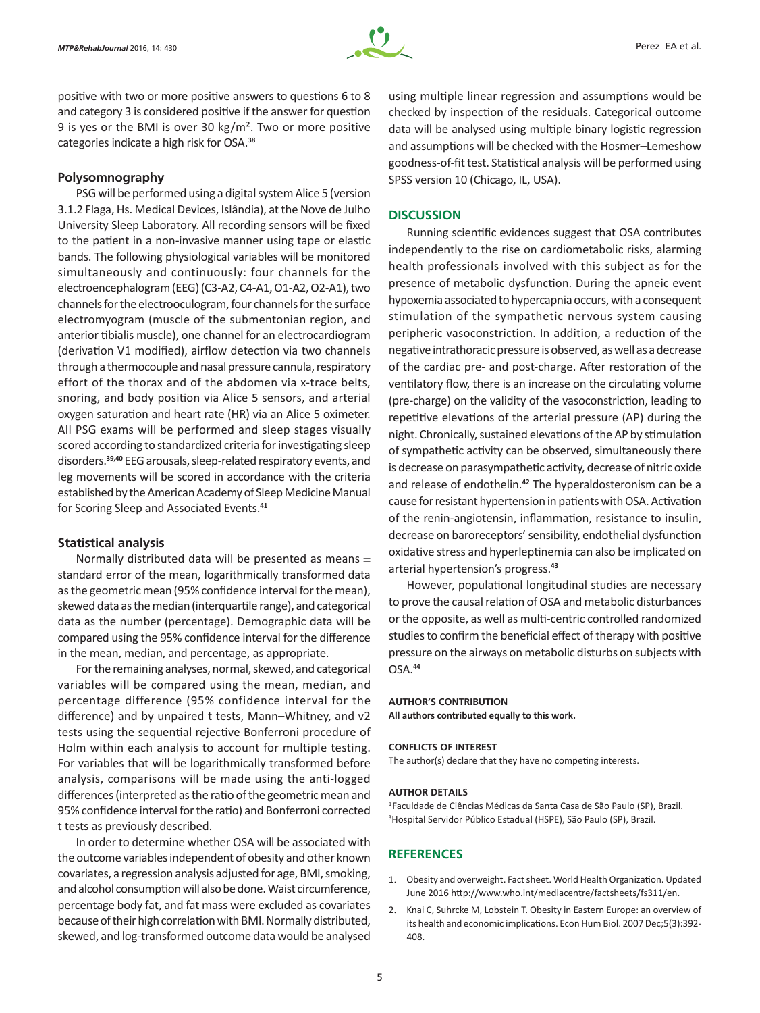

positive with two or more positive answers to questions 6 to 8 and category 3 is considered positive if the answer for question 9 is yes or the BMI is over 30 kg/m². Two or more positive categories indicate a high risk for OSA.**<sup>38</sup>**

## **Polysomnography**

PSG will be performed using a digital system Alice 5 (version 3.1.2 Flaga, Hs. Medical Devices, Islândia), at the Nove de Julho University Sleep Laboratory. All recording sensors will be fixed to the patient in a non-invasive manner using tape or elastic bands. The following physiological variables will be monitored simultaneously and continuously: four channels for the electroencephalogram (EEG) (C3-A2, C4-A1, O1-A2, O2-A1), two channels for the electrooculogram, four channels for the surface electromyogram (muscle of the submentonian region, and anterior tibialis muscle), one channel for an electrocardiogram (derivation V1 modified), airflow detection via two channels through a thermocouple and nasal pressure cannula, respiratory effort of the thorax and of the abdomen via x-trace belts, snoring, and body position via Alice 5 sensors, and arterial oxygen saturation and heart rate (HR) via an Alice 5 oximeter. All PSG exams will be performed and sleep stages visually scored according to standardized criteria for investigating sleep disorders.**39,40** EEG arousals, sleep-related respiratory events, and leg movements will be scored in accordance with the criteria established by the American Academy of Sleep Medicine Manual for Scoring Sleep and Associated Events.**<sup>41</sup>**

#### **Statistical analysis**

Normally distributed data will be presented as means  $\pm$ standard error of the mean, logarithmically transformed data as the geometric mean (95% confidence interval for the mean), skewed data as the median (interquartile range), and categorical data as the number (percentage). Demographic data will be compared using the 95% confidence interval for the difference in the mean, median, and percentage, as appropriate.

For the remaining analyses, normal, skewed, and categorical variables will be compared using the mean, median, and percentage difference (95% confidence interval for the difference) and by unpaired t tests, Mann–Whitney, and v2 tests using the sequential rejective Bonferroni procedure of Holm within each analysis to account for multiple testing. For variables that will be logarithmically transformed before analysis, comparisons will be made using the anti-logged differences (interpreted as the ratio of the geometric mean and 95% confidence interval for the ratio) and Bonferroni corrected t tests as previously described.

In order to determine whether OSA will be associated with the outcome variables independent of obesity and other known covariates, a regression analysis adjusted for age, BMI, smoking, and alcohol consumption will also be done. Waist circumference, percentage body fat, and fat mass were excluded as covariates because of their high correlation with BMI. Normally distributed, skewed, and log-transformed outcome data would be analysed

using multiple linear regression and assumptions would be checked by inspection of the residuals. Categorical outcome data will be analysed using multiple binary logistic regression and assumptions will be checked with the Hosmer–Lemeshow goodness-of-fit test. Statistical analysis will be performed using SPSS version 10 (Chicago, IL, USA).

#### **DISCUSSION**

Running scientific evidences suggest that OSA contributes independently to the rise on cardiometabolic risks, alarming health professionals involved with this subject as for the presence of metabolic dysfunction. During the apneic event hypoxemia associated to hypercapnia occurs, with a consequent stimulation of the sympathetic nervous system causing peripheric vasoconstriction. In addition, a reduction of the negative intrathoracic pressure is observed, as well as a decrease of the cardiac pre- and post-charge. After restoration of the ventilatory flow, there is an increase on the circulating volume (pre-charge) on the validity of the vasoconstriction, leading to repetitive elevations of the arterial pressure (AP) during the night. Chronically, sustained elevations of the AP by stimulation of sympathetic activity can be observed, simultaneously there is decrease on parasympathetic activity, decrease of nitric oxide and release of endothelin.**<sup>42</sup>** The hyperaldosteronism can be a cause for resistant hypertension in patients with OSA. Activation of the renin‑angiotensin, inflammation, resistance to insulin, decrease on baroreceptors' sensibility, endothelial dysfunction oxidative stress and hyperleptinemia can also be implicated on arterial hypertension's progress.**<sup>43</sup>**

However, populational longitudinal studies are necessary to prove the causal relation of OSA and metabolic disturbances or the opposite, as well as multi-centric controlled randomized studies to confirm the beneficial effect of therapy with positive pressure on the airways on metabolic disturbs on subjects with OSA.**<sup>44</sup>**

#### **AUTHOR'S CONTRIBUTION**

**All authors contributed equally to this work.**

#### **CONFLICTS OF INTEREST**

The author(s) declare that they have no competing interests.

#### **AUTHOR DETAILS**

<sup>1</sup>Faculdade de Ciências Médicas da Santa Casa de São Paulo (SP), Brazil. 3 Hospital Servidor Público Estadual (HSPE), São Paulo (SP), Brazil.

## **REFERENCES**

- 1. Obesity and overweight. Fact sheet. World Health Organization. Updated June 2016 http://www.who.int/mediacentre/factsheets/fs311/en.
- 2. Knai C, Suhrcke M, Lobstein T. Obesity in Eastern Europe: an overview of its health and economic implications. Econ Hum Biol. 2007 Dec;5(3):392- 408.